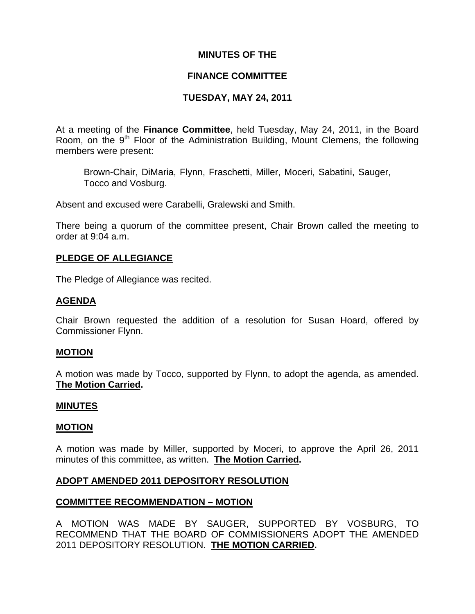# **MINUTES OF THE**

## **FINANCE COMMITTEE**

# **TUESDAY, MAY 24, 2011**

At a meeting of the **Finance Committee**, held Tuesday, May 24, 2011, in the Board Room, on the  $9<sup>th</sup>$  Floor of the Administration Building, Mount Clemens, the following members were present:

Brown-Chair, DiMaria, Flynn, Fraschetti, Miller, Moceri, Sabatini, Sauger, Tocco and Vosburg.

Absent and excused were Carabelli, Gralewski and Smith.

There being a quorum of the committee present, Chair Brown called the meeting to order at 9:04 a.m.

# **PLEDGE OF ALLEGIANCE**

The Pledge of Allegiance was recited.

## **AGENDA**

Chair Brown requested the addition of a resolution for Susan Hoard, offered by Commissioner Flynn.

#### **MOTION**

A motion was made by Tocco, supported by Flynn, to adopt the agenda, as amended. **The Motion Carried.** 

#### **MINUTES**

#### **MOTION**

A motion was made by Miller, supported by Moceri, to approve the April 26, 2011 minutes of this committee, as written. **The Motion Carried.** 

#### **ADOPT AMENDED 2011 DEPOSITORY RESOLUTION**

#### **COMMITTEE RECOMMENDATION – MOTION**

A MOTION WAS MADE BY SAUGER, SUPPORTED BY VOSBURG, TO RECOMMEND THAT THE BOARD OF COMMISSIONERS ADOPT THE AMENDED 2011 DEPOSITORY RESOLUTION. **THE MOTION CARRIED.**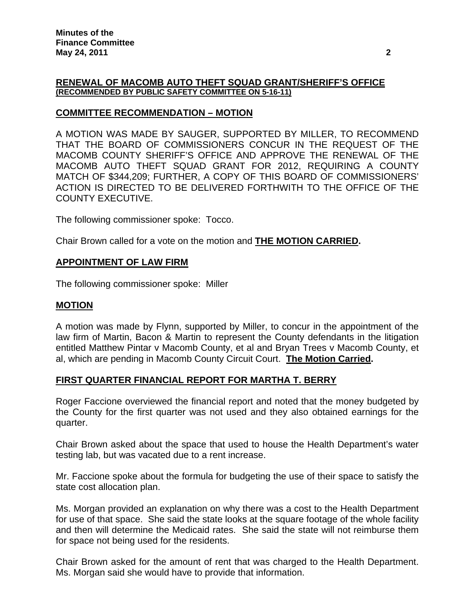#### **RENEWAL OF MACOMB AUTO THEFT SQUAD GRANT/SHERIFF'S OFFICE (RECOMMENDED BY PUBLIC SAFETY COMMITTEE ON 5-16-11)**

# **COMMITTEE RECOMMENDATION – MOTION**

A MOTION WAS MADE BY SAUGER, SUPPORTED BY MILLER, TO RECOMMEND THAT THE BOARD OF COMMISSIONERS CONCUR IN THE REQUEST OF THE MACOMB COUNTY SHERIFF'S OFFICE AND APPROVE THE RENEWAL OF THE MACOMB AUTO THEFT SQUAD GRANT FOR 2012, REQUIRING A COUNTY MATCH OF \$344,209; FURTHER, A COPY OF THIS BOARD OF COMMISSIONERS' ACTION IS DIRECTED TO BE DELIVERED FORTHWITH TO THE OFFICE OF THE COUNTY EXECUTIVE.

The following commissioner spoke: Tocco.

Chair Brown called for a vote on the motion and **THE MOTION CARRIED.** 

#### **APPOINTMENT OF LAW FIRM**

The following commissioner spoke: Miller

#### **MOTION**

A motion was made by Flynn, supported by Miller, to concur in the appointment of the law firm of Martin, Bacon & Martin to represent the County defendants in the litigation entitled Matthew Pintar v Macomb County, et al and Bryan Trees v Macomb County, et al, which are pending in Macomb County Circuit Court. **The Motion Carried.** 

# **FIRST QUARTER FINANCIAL REPORT FOR MARTHA T. BERRY**

Roger Faccione overviewed the financial report and noted that the money budgeted by the County for the first quarter was not used and they also obtained earnings for the quarter.

Chair Brown asked about the space that used to house the Health Department's water testing lab, but was vacated due to a rent increase.

Mr. Faccione spoke about the formula for budgeting the use of their space to satisfy the state cost allocation plan.

Ms. Morgan provided an explanation on why there was a cost to the Health Department for use of that space. She said the state looks at the square footage of the whole facility and then will determine the Medicaid rates. She said the state will not reimburse them for space not being used for the residents.

Chair Brown asked for the amount of rent that was charged to the Health Department. Ms. Morgan said she would have to provide that information.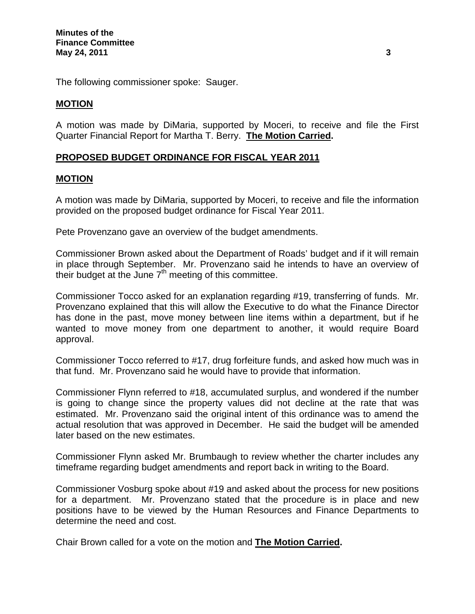The following commissioner spoke: Sauger.

## **MOTION**

A motion was made by DiMaria, supported by Moceri, to receive and file the First Quarter Financial Report for Martha T. Berry. **The Motion Carried.** 

# **PROPOSED BUDGET ORDINANCE FOR FISCAL YEAR 2011**

## **MOTION**

A motion was made by DiMaria, supported by Moceri, to receive and file the information provided on the proposed budget ordinance for Fiscal Year 2011.

Pete Provenzano gave an overview of the budget amendments.

Commissioner Brown asked about the Department of Roads' budget and if it will remain in place through September. Mr. Provenzano said he intends to have an overview of their budget at the June  $7<sup>th</sup>$  meeting of this committee.

Commissioner Tocco asked for an explanation regarding #19, transferring of funds. Mr. Provenzano explained that this will allow the Executive to do what the Finance Director has done in the past, move money between line items within a department, but if he wanted to move money from one department to another, it would require Board approval.

Commissioner Tocco referred to #17, drug forfeiture funds, and asked how much was in that fund. Mr. Provenzano said he would have to provide that information.

Commissioner Flynn referred to #18, accumulated surplus, and wondered if the number is going to change since the property values did not decline at the rate that was estimated. Mr. Provenzano said the original intent of this ordinance was to amend the actual resolution that was approved in December. He said the budget will be amended later based on the new estimates.

Commissioner Flynn asked Mr. Brumbaugh to review whether the charter includes any timeframe regarding budget amendments and report back in writing to the Board.

Commissioner Vosburg spoke about #19 and asked about the process for new positions for a department. Mr. Provenzano stated that the procedure is in place and new positions have to be viewed by the Human Resources and Finance Departments to determine the need and cost.

Chair Brown called for a vote on the motion and **The Motion Carried.**